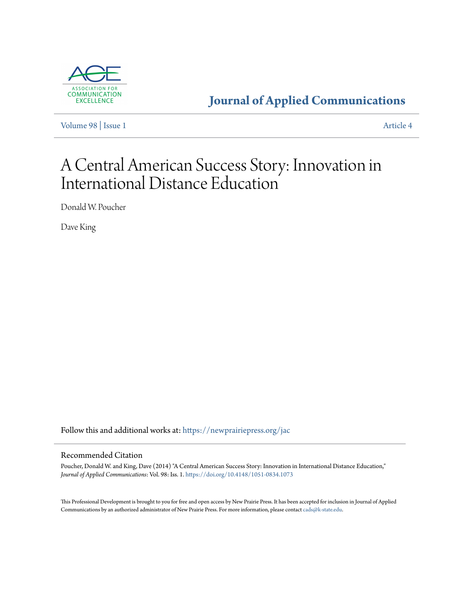

**[Journal of Applied Communications](https://newprairiepress.org/jac?utm_source=newprairiepress.org%2Fjac%2Fvol98%2Fiss1%2F4&utm_medium=PDF&utm_campaign=PDFCoverPages)**

[Volume 98](https://newprairiepress.org/jac/vol98?utm_source=newprairiepress.org%2Fjac%2Fvol98%2Fiss1%2F4&utm_medium=PDF&utm_campaign=PDFCoverPages) | [Issue 1](https://newprairiepress.org/jac/vol98/iss1?utm_source=newprairiepress.org%2Fjac%2Fvol98%2Fiss1%2F4&utm_medium=PDF&utm_campaign=PDFCoverPages) [Article 4](https://newprairiepress.org/jac/vol98/iss1/4?utm_source=newprairiepress.org%2Fjac%2Fvol98%2Fiss1%2F4&utm_medium=PDF&utm_campaign=PDFCoverPages)

# A Central American Success Story: Innovation in International Distance Education

Donald W. Poucher

Dave King

Follow this and additional works at: [https://newprairiepress.org/jac](https://newprairiepress.org/jac?utm_source=newprairiepress.org%2Fjac%2Fvol98%2Fiss1%2F4&utm_medium=PDF&utm_campaign=PDFCoverPages)

#### Recommended Citation

Poucher, Donald W. and King, Dave (2014) "A Central American Success Story: Innovation in International Distance Education," *Journal of Applied Communications*: Vol. 98: Iss. 1. <https://doi.org/10.4148/1051-0834.1073>

This Professional Development is brought to you for free and open access by New Prairie Press. It has been accepted for inclusion in Journal of Applied Communications by an authorized administrator of New Prairie Press. For more information, please contact [cads@k-state.edu](mailto:cads@k-state.edu).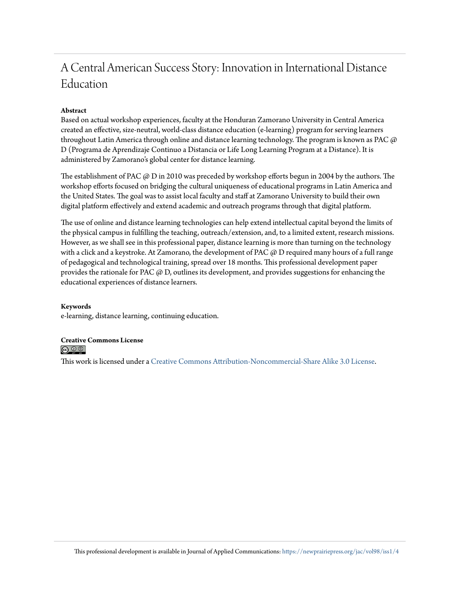# A Central American Success Story: Innovation in International Distance Education

#### **Abstract**

Based on actual workshop experiences, faculty at the Honduran Zamorano University in Central America created an effective, size-neutral, world-class distance education (e-learning) program for serving learners throughout Latin America through online and distance learning technology. The program is known as PAC  $\varpi$ D (Programa de Aprendizaje Continuo a Distancia or Life Long Learning Program at a Distance). It is administered by Zamorano's global center for distance learning.

The establishment of PAC  $\varnothing$  D in 2010 was preceded by workshop efforts begun in 2004 by the authors. The workshop efforts focused on bridging the cultural uniqueness of educational programs in Latin America and the United States. The goal was to assist local faculty and staff at Zamorano University to build their own digital platform effectively and extend academic and outreach programs through that digital platform.

The use of online and distance learning technologies can help extend intellectual capital beyond the limits of the physical campus in fulfilling the teaching, outreach/extension, and, to a limited extent, research missions. However, as we shall see in this professional paper, distance learning is more than turning on the technology with a click and a keystroke. At Zamorano, the development of PAC  $\omega$  D required many hours of a full range of pedagogical and technological training, spread over 18 months. This professional development paper provides the rationale for PAC  $(2)$  D, outlines its development, and provides suggestions for enhancing the educational experiences of distance learners.

#### **Keywords**

e-learning, distance learning, continuing education.

#### **Creative Commons License** <u>@ 0 0 |</u>

This work is licensed under a [Creative Commons Attribution-Noncommercial-Share Alike 3.0 License.](https://creativecommons.org/licenses/by-nc-sa/3.0/)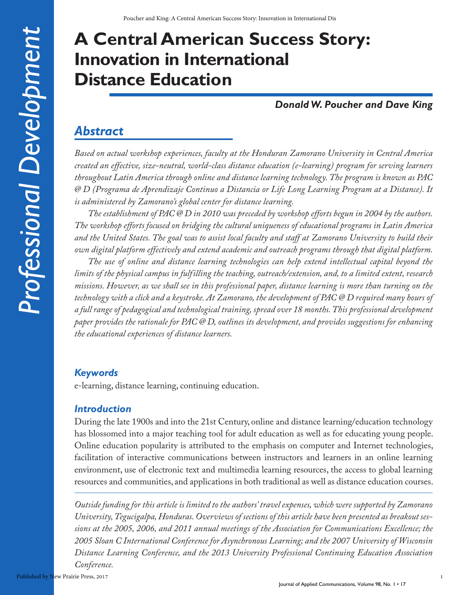# **A Central American Success Story: Innovation in International Distance Education**

# *Donald W. Poucher and Dave King*

# *Abstract*

*Based on actual workshop experiences, faculty at the Honduran Zamorano University in Central America created an effective, size-neutral, world-class distance education (e-learning) program for serving learners throughout Latin America through online and distance learning technology. The program is known as PAC @ D (Programa de Aprendizaje Continuo a Distancia or Life Long Learning Program at a Distance). It is administered by Zamorano's global center for distance learning.*

*The establishment of PAC @ D in 2010 was preceded by workshop efforts begun in 2004 by the authors. The workshop efforts focused on bridging the cultural uniqueness of educational programs in Latin America and the United States. The goal was to assist local faculty and staff at Zamorano University to build their own digital platform effectively and extend academic and outreach programs through that digital platform.*

*The use of online and distance learning technologies can help extend intellectual capital beyond the limits of the physical campus in fulfilling the teaching, outreach/extension, and, to a limited extent, research missions. However, as we shall see in this professional paper, distance learning is more than turning on the technology with a click and a keystroke. At Zamorano, the development of PAC @ D required many hours of a full range of pedagogical and technological training, spread over 18 months. This professional development paper provides the rationale for PAC @ D, outlines its development, and provides suggestions for enhancing the educational experiences of distance learners.*

## *Keywords*

e-learning, distance learning, continuing education.

## *Introduction*

During the late 1900s and into the 21st Century, online and distance learning/education technology has blossomed into a major teaching tool for adult education as well as for educating young people. Online education popularity is attributed to the emphasis on computer and Internet technologies, facilitation of interactive communications between instructors and learners in an online learning environment, use of electronic text and multimedia learning resources, the access to global learning resources and communities, and applications in both traditional as well as distance education courses.

*Outside funding for this article is limited to the authors' travel expenses, which were supported by Zamorano University, Tegucigalpa, Honduras. Overviews of sections of this article have been presented as breakout sessions at the 2005, 2006, and 2011 annual meetings of the Association for Communications Excellence; the 2005 Sloan C International Conference for Asynchronous Learning; and the 2007 University of Wisconsin Distance Learning Conference, and the 2013 University Professional Continuing Education Association Conference.*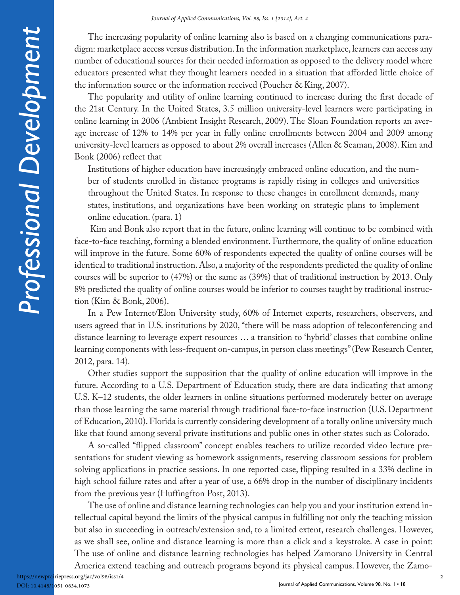The increasing popularity of online learning also is based on a changing communications paradigm: marketplace access versus distribution. In the information marketplace, learners can access any number of educational sources for their needed information as opposed to the delivery model where educators presented what they thought learners needed in a situation that afforded little choice of the information source or the information received (Poucher & King, 2007).

The popularity and utility of online learning continued to increase during the first decade of the 21st Century. In the United States, 3.5 million university-level learners were participating in online learning in 2006 (Ambient Insight Research, 2009). The Sloan Foundation reports an average increase of 12% to 14% per year in fully online enrollments between 2004 and 2009 among university-level learners as opposed to about 2% overall increases (Allen & Seaman, 2008). Kim and Bonk (2006) reflect that

Institutions of higher education have increasingly embraced online education, and the number of students enrolled in distance programs is rapidly rising in colleges and universities throughout the United States. In response to these changes in enrollment demands, many states, institutions, and organizations have been working on strategic plans to implement online education. (para. 1)

 Kim and Bonk also report that in the future, online learning will continue to be combined with face-to-face teaching, forming a blended environment. Furthermore, the quality of online education will improve in the future. Some 60% of respondents expected the quality of online courses will be identical to traditional instruction. Also, a majority of the respondents predicted the quality of online courses will be superior to (47%) or the same as (39%) that of traditional instruction by 2013. Only 8% predicted the quality of online courses would be inferior to courses taught by traditional instruction (Kim & Bonk, 2006).

In a Pew Internet/Elon University study, 60% of Internet experts, researchers, observers, and users agreed that in U.S. institutions by 2020, "there will be mass adoption of teleconferencing and distance learning to leverage expert resources … a transition to 'hybrid' classes that combine online learning components with less-frequent on-campus, in person class meetings" (Pew Research Center, 2012, para. 14).

Other studies support the supposition that the quality of online education will improve in the future. According to a U.S. Department of Education study, there are data indicating that among U.S. K–12 students, the older learners in online situations performed moderately better on average than those learning the same material through traditional face-to-face instruction (U.S. Department of Education, 2010). Florida is currently considering development of a totally online university much like that found among several private institutions and public ones in other states such as Colorado.

A so-called "flipped classroom" concept enables teachers to utilize recorded video lecture presentations for student viewing as homework assignments, reserving classroom sessions for problem solving applications in practice sessions. In one reported case, flipping resulted in a 33% decline in high school failure rates and after a year of use, a 66% drop in the number of disciplinary incidents from the previous year (Huffingfton Post, 2013).

The use of online and distance learning technologies can help you and your institution extend intellectual capital beyond the limits of the physical campus in fulfilling not only the teaching mission but also in succeeding in outreach/extension and, to a limited extent, research challenges. However, as we shall see, online and distance learning is more than a click and a keystroke. A case in point: The use of online and distance learning technologies has helped Zamorano University in Central

America extend teaching and outreach programs beyond its physical campus. However, the Zamohttps://newprairiepress.org/jac/vol98/iss1/4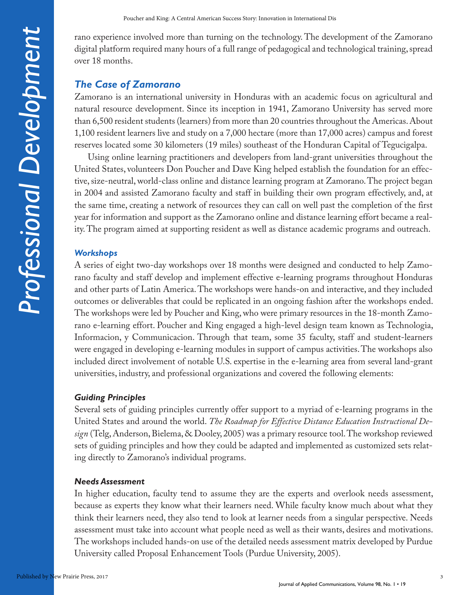rano experience involved more than turning on the technology. The development of the Zamorano digital platform required many hours of a full range of pedagogical and technological training, spread over 18 months.

## *The Case of Zamorano*

Zamorano is an international university in Honduras with an academic focus on agricultural and natural resource development. Since its inception in 1941, Zamorano University has served more than 6,500 resident students (learners) from more than 20 countries throughout the Americas. About 1,100 resident learners live and study on a 7,000 hectare (more than 17,000 acres) campus and forest reserves located some 30 kilometers (19 miles) southeast of the Honduran Capital of Tegucigalpa.

Using online learning practitioners and developers from land-grant universities throughout the United States, volunteers Don Poucher and Dave King helped establish the foundation for an effective, size-neutral, world-class online and distance learning program at Zamorano. The project began in 2004 and assisted Zamorano faculty and staff in building their own program effectively, and, at the same time, creating a network of resources they can call on well past the completion of the first year for information and support as the Zamorano online and distance learning effort became a reality. The program aimed at supporting resident as well as distance academic programs and outreach.

#### *Workshops*

A series of eight two-day workshops over 18 months were designed and conducted to help Zamorano faculty and staff develop and implement effective e-learning programs throughout Honduras and other parts of Latin America. The workshops were hands-on and interactive, and they included outcomes or deliverables that could be replicated in an ongoing fashion after the workshops ended. The workshops were led by Poucher and King, who were primary resources in the 18-month Zamorano e-learning effort. Poucher and King engaged a high-level design team known as Technologia, Informacion, y Communicacion. Through that team, some 35 faculty, staff and student-learners were engaged in developing e-learning modules in support of campus activities. The workshops also included direct involvement of notable U.S. expertise in the e-learning area from several land-grant universities, industry, and professional organizations and covered the following elements:

#### *Guiding Principles*

Several sets of guiding principles currently offer support to a myriad of e-learning programs in the United States and around the world. *The Roadmap for Effective Distance Education Instructional Design* (Telg, Anderson, Bielema, & Dooley, 2005) was a primary resource tool. The workshop reviewed sets of guiding principles and how they could be adapted and implemented as customized sets relating directly to Zamorano's individual programs.

#### *Needs Assessment*

In higher education, faculty tend to assume they are the experts and overlook needs assessment, because as experts they know what their learners need. While faculty know much about what they think their learners need, they also tend to look at learner needs from a singular perspective. Needs assessment must take into account what people need as well as their wants, desires and motivations. The workshops included hands-on use of the detailed needs assessment matrix developed by Purdue University called Proposal Enhancement Tools (Purdue University, 2005).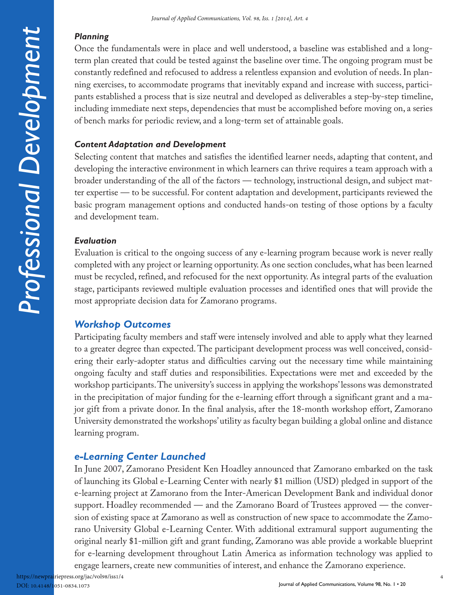#### *Planning*

Once the fundamentals were in place and well understood, a baseline was established and a longterm plan created that could be tested against the baseline over time. The ongoing program must be constantly redefined and refocused to address a relentless expansion and evolution of needs. In planning exercises, to accommodate programs that inevitably expand and increase with success, participants established a process that is size neutral and developed as deliverables a step-by-step timeline, including immediate next steps, dependencies that must be accomplished before moving on, a series of bench marks for periodic review, and a long-term set of attainable goals.

#### *Content Adaptation and Development*

Selecting content that matches and satisfies the identified learner needs, adapting that content, and developing the interactive environment in which learners can thrive requires a team approach with a broader understanding of the all of the factors — technology, instructional design, and subject matter expertise — to be successful. For content adaptation and development, participants reviewed the basic program management options and conducted hands-on testing of those options by a faculty and development team.

#### *Evaluation*

Evaluation is critical to the ongoing success of any e-learning program because work is never really completed with any project or learning opportunity. As one section concludes, what has been learned must be recycled, refined, and refocused for the next opportunity. As integral parts of the evaluation stage, participants reviewed multiple evaluation processes and identified ones that will provide the most appropriate decision data for Zamorano programs.

# *Workshop Outcomes*

Participating faculty members and staff were intensely involved and able to apply what they learned to a greater degree than expected. The participant development process was well conceived, considering their early-adopter status and difficulties carving out the necessary time while maintaining ongoing faculty and staff duties and responsibilities. Expectations were met and exceeded by the workshop participants. The university's success in applying the workshops' lessons was demonstrated in the precipitation of major funding for the e-learning effort through a significant grant and a major gift from a private donor. In the final analysis, after the 18-month workshop effort, Zamorano University demonstrated the workshops' utility as faculty began building a global online and distance learning program.

# *e-Learning Center Launched*

In June 2007, Zamorano President Ken Hoadley announced that Zamorano embarked on the task of launching its Global e-Learning Center with nearly \$1 million (USD) pledged in support of the e-learning project at Zamorano from the Inter-American Development Bank and individual donor support. Hoadley recommended — and the Zamorano Board of Trustees approved — the conversion of existing space at Zamorano as well as construction of new space to accommodate the Zamorano University Global e-Learning Center. With additional extramural support augumenting the original nearly \$1-million gift and grant funding, Zamorano was able provide a workable blueprint for e-learning development throughout Latin America as information technology was applied to engage learners, create new communities of interest, and enhance the Zamorano experience.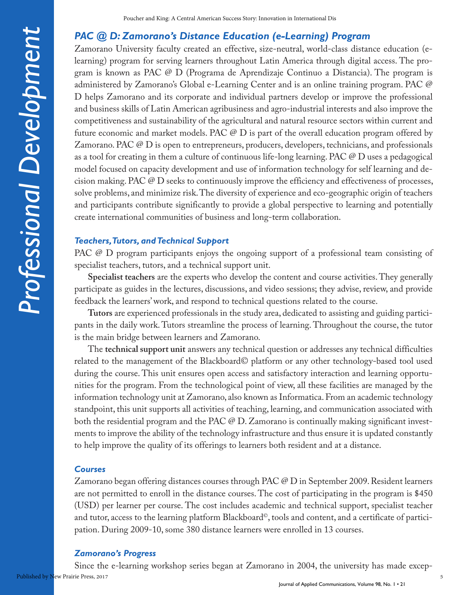#### *PAC @ D: Zamorano's Distance Education (e-Learning) Program*

Zamorano University faculty created an effective, size-neutral, world-class distance education (elearning) program for serving learners throughout Latin America through digital access. The program is known as PAC @ D (Programa de Aprendizaje Continuo a Distancia). The program is administered by Zamorano's Global e-Learning Center and is an online training program. PAC @ D helps Zamorano and its corporate and individual partners develop or improve the professional and business skills of Latin American agribusiness and agro-industrial interests and also improve the competitiveness and sustainability of the agricultural and natural resource sectors within current and future economic and market models. PAC @ D is part of the overall education program offered by Zamorano. PAC @ D is open to entrepreneurs, producers, developers, technicians, and professionals as a tool for creating in them a culture of continuous life-long learning. PAC @ D uses a pedagogical model focused on capacity development and use of information technology for self learning and decision making. PAC @ D seeks to continuously improve the efficiency and effectiveness of processes, solve problems, and minimize risk. The diversity of experience and eco-geographic origin of teachers and participants contribute significantly to provide a global perspective to learning and potentially create international communities of business and long-term collaboration.

#### *Teachers, Tutors, and Technical Support*

PAC @ D program participants enjoys the ongoing support of a professional team consisting of specialist teachers, tutors, and a technical support unit.

**Specialist teachers** are the experts who develop the content and course activities. They generally participate as guides in the lectures, discussions, and video sessions; they advise, review, and provide feedback the learners' work, and respond to technical questions related to the course.

**Tutors** are experienced professionals in the study area, dedicated to assisting and guiding participants in the daily work. Tutors streamline the process of learning. Throughout the course, the tutor is the main bridge between learners and Zamorano.

The **technical support unit** answers any technical question or addresses any technical difficulties related to the management of the Blackboard© platform or any other technology-based tool used during the course. This unit ensures open access and satisfactory interaction and learning opportunities for the program. From the technological point of view, all these facilities are managed by the information technology unit at Zamorano, also known as Informatica. From an academic technology standpoint, this unit supports all activities of teaching, learning, and communication associated with both the residential program and the PAC @ D. Zamorano is continually making significant investments to improve the ability of the technology infrastructure and thus ensure it is updated constantly to help improve the quality of its offerings to learners both resident and at a distance.

#### *Courses*

Zamorano began offering distances courses through PAC @ D in September 2009. Resident learners are not permitted to enroll in the distance courses. The cost of participating in the program is \$450 (USD) per learner per course. The cost includes academic and technical support, specialist teacher and tutor, access to the learning platform Blackboard©, tools and content, and a certificate of participation. During 2009-10, some 380 distance learners were enrolled in 13 courses.

#### *Zamorano's Progress*

Since the e-learning workshop series began at Zamorano in 2004, the university has made excep-Published by New Prairie Press, 2017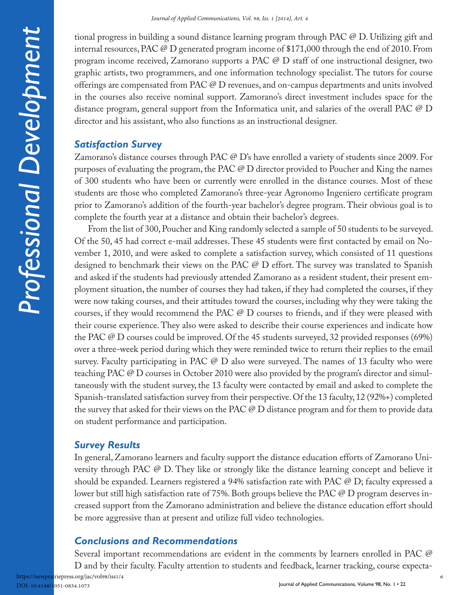tional progress in building a sound distance learning program through PAC @ D. Utilizing gift and internal resources, PAC @ D generated program income of \$171,000 through the end of 2010. From program income received, Zamorano supports a PAC @ D staff of one instructional designer, two graphic artists, two programmers, and one information technology specialist. The tutors for course offerings are compensated from PAC @ D revenues, and on-campus departments and units involved in the courses also receive nominal support. Zamorano's direct investment includes space for the distance program, general support from the Informatica unit, and salaries of the overall PAC @ D director and his assistant, who also functions as an instructional designer.

## *Satisfaction Survey*

Zamorano's distance courses through PAC @ D's have enrolled a variety of students since 2009. For purposes of evaluating the program, the PAC @ D director provided to Poucher and King the names of 300 students who have been or currently were enrolled in the distance courses. Most of these students are those who completed Zamorano's three-year Agronomo Ingeniero certificate program prior to Zamorano's addition of the fourth-year bachelor's degree program. Their obvious goal is to complete the fourth year at a distance and obtain their bachelor's degrees.

From the list of 300, Poucher and King randomly selected a sample of 50 students to be surveyed. Of the 50, 45 had correct e-mail addresses. These 45 students were first contacted by email on November 1, 2010, and were asked to complete a satisfaction survey, which consisted of 11 questions designed to benchmark their views on the PAC @ D effort. The survey was translated to Spanish and asked if the students had previously attended Zamorano as a resident student, their present employment situation, the number of courses they had taken, if they had completed the courses, if they were now taking courses, and their attitudes toward the courses, including why they were taking the courses, if they would recommend the PAC @ D courses to friends, and if they were pleased with their course experience. They also were asked to describe their course experiences and indicate how the PAC @ D courses could be improved. Of the 45 students surveyed, 32 provided responses (69%) over a three-week period during which they were reminded twice to return their replies to the email survey. Faculty participating in PAC @ D also were surveyed. The names of 13 faculty who were teaching PAC @ D courses in October 2010 were also provided by the program's director and simultaneously with the student survey, the 13 faculty were contacted by email and asked to complete the Spanish-translated satisfaction survey from their perspective. Of the 13 faculty, 12 (92%+) completed the survey that asked for their views on the PAC  $\mathcal O$  D distance program and for them to provide data on student performance and participation.

# *Survey Results*

In general, Zamorano learners and faculty support the distance education efforts of Zamorano University through PAC @ D. They like or strongly like the distance learning concept and believe it should be expanded. Learners registered a 94% satisfaction rate with PAC @ D; faculty expressed a lower but still high satisfaction rate of 75%. Both groups believe the PAC @ D program deserves increased support from the Zamorano administration and believe the distance education effort should be more aggressive than at present and utilize full video technologies.

# *Conclusions and Recommendations*

Several important recommendations are evident in the comments by learners enrolled in PAC @ D and by their faculty. Faculty attention to students and feedback, learner tracking, course expecta-Journal of Applied Communications, Volume 98, No. 1 . 22 https://newprairiepress.org/jac/vol98/iss1/4 DOI: 10.4148/1051-0834.1073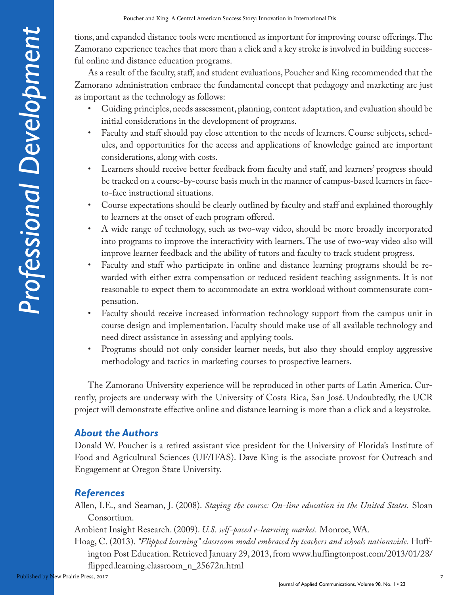tions, and expanded distance tools were mentioned as important for improving course offerings. The Zamorano experience teaches that more than a click and a key stroke is involved in building successful online and distance education programs.

As a result of the faculty, staff, and student evaluations, Poucher and King recommended that the Zamorano administration embrace the fundamental concept that pedagogy and marketing are just as important as the technology as follows:

- Guiding principles, needs assessment, planning, content adaptation, and evaluation should be initial considerations in the development of programs.
- Faculty and staff should pay close attention to the needs of learners. Course subjects, schedules, and opportunities for the access and applications of knowledge gained are important considerations, along with costs.
- Learners should receive better feedback from faculty and staff, and learners' progress should be tracked on a course-by-course basis much in the manner of campus-based learners in faceto-face instructional situations.
- Course expectations should be clearly outlined by faculty and staff and explained thoroughly to learners at the onset of each program offered.
- A wide range of technology, such as two-way video, should be more broadly incorporated into programs to improve the interactivity with learners. The use of two-way video also will improve learner feedback and the ability of tutors and faculty to track student progress.
- Faculty and staff who participate in online and distance learning programs should be rewarded with either extra compensation or reduced resident teaching assignments. It is not reasonable to expect them to accommodate an extra workload without commensurate compensation.
- Faculty should receive increased information technology support from the campus unit in course design and implementation. Faculty should make use of all available technology and need direct assistance in assessing and applying tools.
- Programs should not only consider learner needs, but also they should employ aggressive methodology and tactics in marketing courses to prospective learners.

The Zamorano University experience will be reproduced in other parts of Latin America. Currently, projects are underway with the University of Costa Rica, San José. Undoubtedly, the UCR project will demonstrate effective online and distance learning is more than a click and a keystroke.

# *About the Authors*

Donald W. Poucher is a retired assistant vice president for the University of Florida's Institute of Food and Agricultural Sciences (UF/IFAS). Dave King is the associate provost for Outreach and Engagement at Oregon State University.

# *References*

Allen, I.E., and Seaman, J. (2008). *Staying the course: On-line education in the United States.* Sloan Consortium.

Ambient Insight Research. (2009). *U.S. self-paced e-learning market.* Monroe, WA.

Hoag, C. (2013). *"Flipped learning" classroom model embraced by teachers and schools nationwide.* Huffington Post Education. Retrieved January 29, 2013, from www.huffingtonpost.com/2013/01/28/ flipped.learning.classroom\_n\_25672n.html